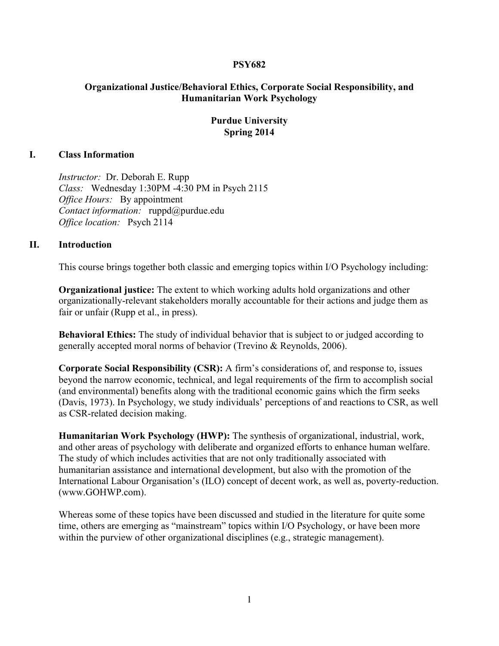## **PSY682**

# **Organizational Justice/Behavioral Ethics, Corporate Social Responsibility, and Humanitarian Work Psychology**

## **Purdue University Spring 2014**

## **I. Class Information**

*Instructor:* Dr. Deborah E. Rupp *Class:* Wednesday 1:30PM -4:30 PM in Psych 2115 *Office Hours:* By appointment *Contact information:* ruppd@purdue.edu *Office location:* Psych 2114

#### **II. Introduction**

This course brings together both classic and emerging topics within I/O Psychology including:

**Organizational justice:** The extent to which working adults hold organizations and other organizationally-relevant stakeholders morally accountable for their actions and judge them as fair or unfair (Rupp et al., in press).

**Behavioral Ethics:** The study of individual behavior that is subject to or judged according to generally accepted moral norms of behavior (Trevino & Reynolds, 2006).

**Corporate Social Responsibility (CSR):** A firm's considerations of, and response to, issues beyond the narrow economic, technical, and legal requirements of the firm to accomplish social (and environmental) benefits along with the traditional economic gains which the firm seeks (Davis, 1973). In Psychology, we study individuals' perceptions of and reactions to CSR, as well as CSR-related decision making.

**Humanitarian Work Psychology (HWP):** The synthesis of organizational, industrial, work, and other areas of psychology with deliberate and organized efforts to enhance human welfare. The study of which includes activities that are not only traditionally associated with humanitarian assistance and international development, but also with the promotion of the International Labour Organisation's (ILO) concept of decent work, as well as, poverty-reduction. (www.GOHWP.com).

Whereas some of these topics have been discussed and studied in the literature for quite some time, others are emerging as "mainstream" topics within I/O Psychology, or have been more within the purview of other organizational disciplines (e.g., strategic management).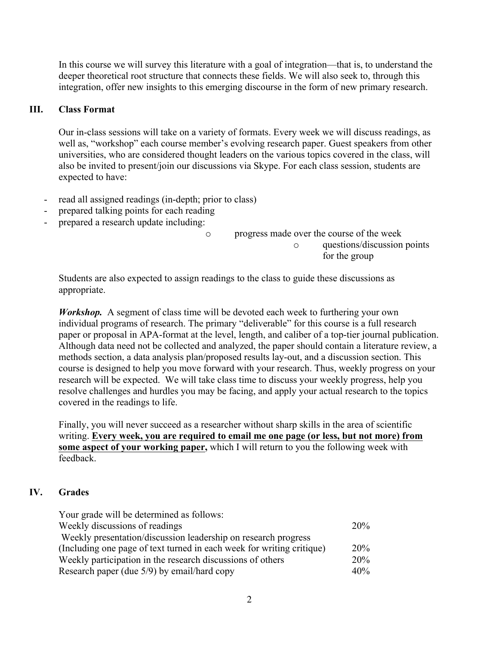In this course we will survey this literature with a goal of integration—that is, to understand the deeper theoretical root structure that connects these fields. We will also seek to, through this integration, offer new insights to this emerging discourse in the form of new primary research.

# **III. Class Format**

Our in-class sessions will take on a variety of formats. Every week we will discuss readings, as well as, "workshop" each course member's evolving research paper. Guest speakers from other universities, who are considered thought leaders on the various topics covered in the class, will also be invited to present/join our discussions via Skype. For each class session, students are expected to have:

- read all assigned readings (in-depth; prior to class)
- prepared talking points for each reading
- prepared a research update including:

o progress made over the course of the week o questions/discussion points

for the group

Students are also expected to assign readings to the class to guide these discussions as appropriate.

*Workshop.* A segment of class time will be devoted each week to furthering your own individual programs of research. The primary "deliverable" for this course is a full research paper or proposal in APA-format at the level, length, and caliber of a top-tier journal publication. Although data need not be collected and analyzed, the paper should contain a literature review, a methods section, a data analysis plan/proposed results lay-out, and a discussion section. This course is designed to help you move forward with your research. Thus, weekly progress on your research will be expected. We will take class time to discuss your weekly progress, help you resolve challenges and hurdles you may be facing, and apply your actual research to the topics covered in the readings to life.

Finally, you will never succeed as a researcher without sharp skills in the area of scientific writing. **Every week, you are required to email me one page (or less, but not more) from some aspect of your working paper,** which I will return to you the following week with feedback.

# **IV. Grades**

| Your grade will be determined as follows:                             |     |
|-----------------------------------------------------------------------|-----|
| Weekly discussions of readings                                        | 20% |
| Weekly presentation/discussion leadership on research progress        |     |
| (Including one page of text turned in each week for writing critique) | 20% |
| Weekly participation in the research discussions of others            | 20% |
| Research paper (due 5/9) by email/hard copy                           | 40% |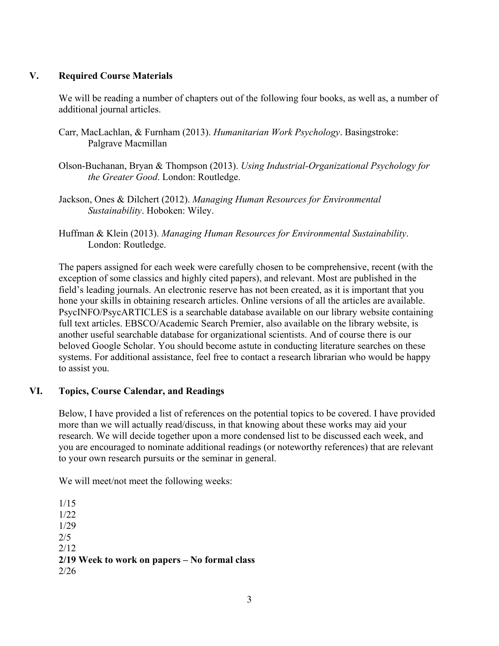# **V. Required Course Materials**

We will be reading a number of chapters out of the following four books, as well as, a number of additional journal articles.

- Carr, MacLachlan, & Furnham (2013). *Humanitarian Work Psychology*. Basingstroke: Palgrave Macmillan
- Olson-Buchanan, Bryan & Thompson (2013). *Using Industrial-Organizational Psychology for the Greater Good*. London: Routledge.
- Jackson, Ones & Dilchert (2012). *Managing Human Resources for Environmental Sustainability*. Hoboken: Wiley.
- Huffman & Klein (2013). *Managing Human Resources for Environmental Sustainability*. London: Routledge.

The papers assigned for each week were carefully chosen to be comprehensive, recent (with the exception of some classics and highly cited papers), and relevant. Most are published in the field's leading journals. An electronic reserve has not been created, as it is important that you hone your skills in obtaining research articles. Online versions of all the articles are available. PsycINFO/PsycARTICLES is a searchable database available on our library website containing full text articles. EBSCO/Academic Search Premier, also available on the library website, is another useful searchable database for organizational scientists. And of course there is our beloved Google Scholar. You should become astute in conducting literature searches on these systems. For additional assistance, feel free to contact a research librarian who would be happy to assist you.

# **VI. Topics, Course Calendar, and Readings**

Below, I have provided a list of references on the potential topics to be covered. I have provided more than we will actually read/discuss, in that knowing about these works may aid your research. We will decide together upon a more condensed list to be discussed each week, and you are encouraged to nominate additional readings (or noteworthy references) that are relevant to your own research pursuits or the seminar in general.

We will meet/not meet the following weeks:

1/15 1/22 1/29 2/5 2/12 **2/19 Week to work on papers – No formal class** 2/26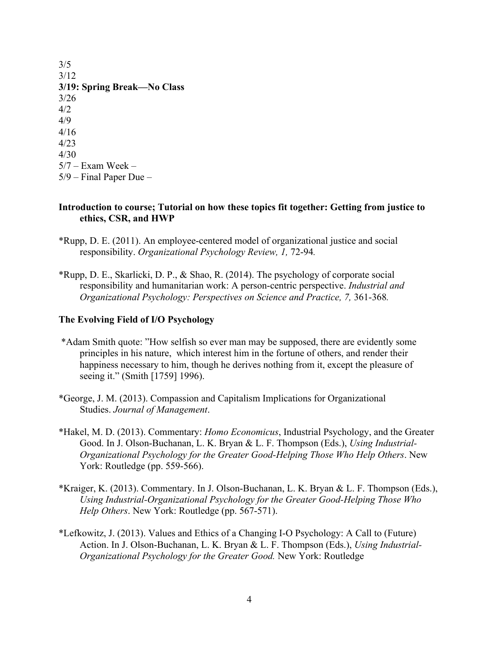3/5 3/12 **3/19: Spring Break—No Class** 3/26 4/2 4/9 4/16 4/23 4/30  $5/7$  – Exam Week – 5/9 – Final Paper Due –

### **Introduction to course; Tutorial on how these topics fit together: Getting from justice to ethics, CSR, and HWP**

- \*Rupp, D. E. (2011). An employee-centered model of organizational justice and social responsibility. *Organizational Psychology Review, 1,* 72-94*.*
- \*Rupp, D. E., Skarlicki, D. P., & Shao, R. (2014). The psychology of corporate social responsibility and humanitarian work: A person-centric perspective. *Industrial and Organizational Psychology: Perspectives on Science and Practice, 7,* 361-368*.*

## **The Evolving Field of I/O Psychology**

- \*Adam Smith quote: "How selfish so ever man may be supposed, there are evidently some principles in his nature, which interest him in the fortune of others, and render their happiness necessary to him, though he derives nothing from it, except the pleasure of seeing it." (Smith [1759] 1996).
- \*George, J. M. (2013). Compassion and Capitalism Implications for Organizational Studies. *Journal of Management*.
- \*Hakel, M. D. (2013). Commentary: *Homo Economicus*, Industrial Psychology, and the Greater Good. In J. Olson-Buchanan, L. K. Bryan & L. F. Thompson (Eds.), *Using Industrial-Organizational Psychology for the Greater Good-Helping Those Who Help Others*. New York: Routledge (pp. 559-566).
- \*Kraiger, K. (2013). Commentary. In J. Olson-Buchanan, L. K. Bryan & L. F. Thompson (Eds.), *Using Industrial-Organizational Psychology for the Greater Good-Helping Those Who Help Others*. New York: Routledge (pp. 567-571).
- \*Lefkowitz, J. (2013). Values and Ethics of a Changing I-O Psychology: A Call to (Future) Action. In J. Olson-Buchanan, L. K. Bryan & L. F. Thompson (Eds.), *Using Industrial-Organizational Psychology for the Greater Good.* New York: Routledge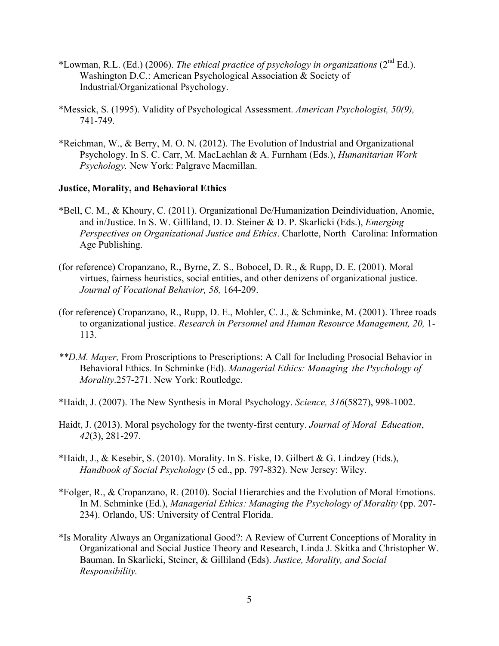- \*Lowman, R.L. (Ed.) (2006). *The ethical practice of psychology in organizations* (2nd Ed.). Washington D.C.: American Psychological Association & Society of Industrial/Organizational Psychology.
- \*Messick, S. (1995). Validity of Psychological Assessment. *American Psychologist, 50(9),* 741-749.
- \*Reichman, W., & Berry, M. O. N. (2012). The Evolution of Industrial and Organizational Psychology. In S. C. Carr, M. MacLachlan & A. Furnham (Eds.), *Humanitarian Work Psychology.* New York: Palgrave Macmillan.

## **Justice, Morality, and Behavioral Ethics**

- \*Bell, C. M., & Khoury, C. (2011). Organizational De/Humanization Deindividuation, Anomie, and in/Justice. In S. W. Gilliland, D. D. Steiner & D. P. Skarlicki (Eds.), *Emerging Perspectives on Organizational Justice and Ethics*. Charlotte, North Carolina: Information Age Publishing.
- (for reference) Cropanzano, R., Byrne, Z. S., Bobocel, D. R., & Rupp, D. E. (2001). Moral virtues, fairness heuristics, social entities, and other denizens of organizational justice. *Journal of Vocational Behavior, 58,* 164-209.
- (for reference) Cropanzano, R., Rupp, D. E., Mohler, C. J., & Schminke, M. (2001). Three roads to organizational justice. *Research in Personnel and Human Resource Management, 20,* 1- 113.
- *\*\*D.M. Mayer,* From Proscriptions to Prescriptions: A Call for Including Prosocial Behavior in Behavioral Ethics. In Schminke (Ed). *Managerial Ethics: Managing the Psychology of Morality*.257-271. New York: Routledge.
- \*Haidt, J. (2007). The New Synthesis in Moral Psychology. *Science, 316*(5827), 998-1002.
- Haidt, J. (2013). Moral psychology for the twenty-first century. *Journal of Moral Education*, *42*(3), 281-297.
- \*Haidt, J., & Kesebir, S. (2010). Morality. In S. Fiske, D. Gilbert & G. Lindzey (Eds.), *Handbook of Social Psychology* (5 ed., pp. 797-832). New Jersey: Wiley.
- \*Folger, R., & Cropanzano, R. (2010). Social Hierarchies and the Evolution of Moral Emotions. In M. Schminke (Ed.), *Managerial Ethics: Managing the Psychology of Morality* (pp. 207- 234). Orlando, US: University of Central Florida.
- \*Is Morality Always an Organizational Good?: A Review of Current Conceptions of Morality in Organizational and Social Justice Theory and Research, Linda J. Skitka and Christopher W. Bauman. In Skarlicki, Steiner, & Gilliland (Eds). *Justice, Morality, and Social Responsibility.*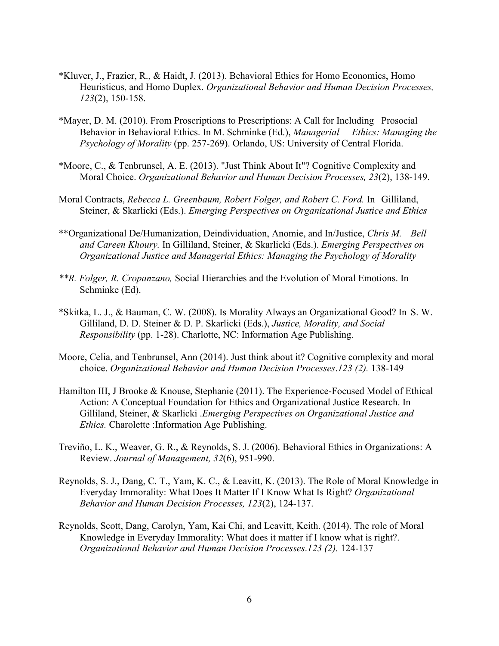- \*Kluver, J., Frazier, R., & Haidt, J. (2013). Behavioral Ethics for Homo Economics, Homo Heuristicus, and Homo Duplex. *Organizational Behavior and Human Decision Processes, 123*(2), 150-158.
- \*Mayer, D. M. (2010). From Proscriptions to Prescriptions: A Call for Including Prosocial Behavior in Behavioral Ethics. In M. Schminke (Ed.), *Managerial Ethics: Managing the Psychology of Morality* (pp. 257-269). Orlando, US: University of Central Florida.
- \*Moore, C., & Tenbrunsel, A. E. (2013). "Just Think About It"? Cognitive Complexity and Moral Choice. *Organizational Behavior and Human Decision Processes, 23*(2), 138-149.
- Moral Contracts, *Rebecca L. Greenbaum, Robert Folger, and Robert C. Ford.* In Gilliland, Steiner, & Skarlicki (Eds.). *Emerging Perspectives on Organizational Justice and Ethics*
- \*\*Organizational De/Humanization, Deindividuation, Anomie, and In/Justice, *Chris M. Bell and Careen Khoury.* In Gilliland, Steiner, & Skarlicki (Eds.). *Emerging Perspectives on Organizational Justice and Managerial Ethics: Managing the Psychology of Morality*
- *\*\*R. Folger, R. Cropanzano,* Social Hierarchies and the Evolution of Moral Emotions. In Schminke (Ed).
- \*Skitka, L. J., & Bauman, C. W. (2008). Is Morality Always an Organizational Good? In S. W. Gilliland, D. D. Steiner & D. P. Skarlicki (Eds.), *Justice, Morality, and Social Responsibility* (pp. 1-28). Charlotte, NC: Information Age Publishing.
- Moore, Celia, and Tenbrunsel, Ann (2014). Just think about it? Cognitive complexity and moral choice. *Organizational Behavior and Human Decision Processes*.*123 (2).* 138-149
- Hamilton III, J Brooke & Knouse, Stephanie (2011). The Experience-Focused Model of Ethical Action: A Conceptual Foundation for Ethics and Organizational Justice Research. In Gilliland, Steiner, & Skarlicki .*Emerging Perspectives on Organizational Justice and Ethics.* Charolette :Information Age Publishing.
- Treviño, L. K., Weaver, G. R., & Reynolds, S. J. (2006). Behavioral Ethics in Organizations: A Review. *Journal of Management, 32*(6), 951-990.
- Reynolds, S. J., Dang, C. T., Yam, K. C., & Leavitt, K. (2013). The Role of Moral Knowledge in Everyday Immorality: What Does It Matter If I Know What Is Right? *Organizational Behavior and Human Decision Processes, 123*(2), 124-137.
- Reynolds, Scott, Dang, Carolyn, Yam, Kai Chi, and Leavitt, Keith. (2014). The role of Moral Knowledge in Everyday Immorality: What does it matter if I know what is right?. *Organizational Behavior and Human Decision Processes*.*123 (2).* 124-137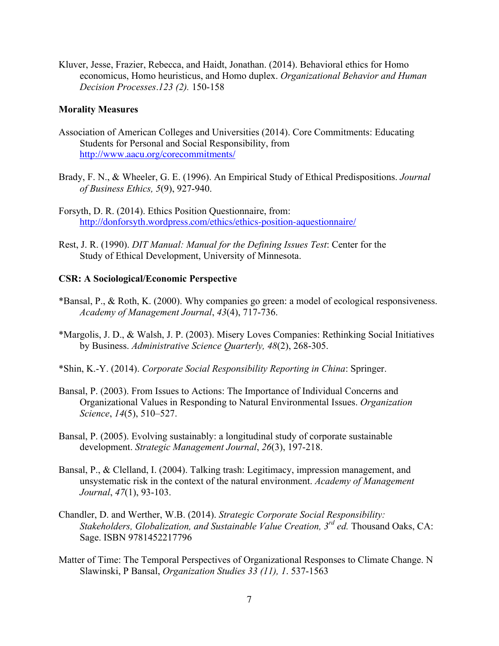Kluver, Jesse, Frazier, Rebecca, and Haidt, Jonathan. (2014). Behavioral ethics for Homo economicus, Homo heuristicus, and Homo duplex. *Organizational Behavior and Human Decision Processes*.*123 (2).* 150-158

#### **Morality Measures**

- Association of American Colleges and Universities (2014). Core Commitments: Educating Students for Personal and Social Responsibility, from http://www.aacu.org/corecommitments/
- Brady, F. N., & Wheeler, G. E. (1996). An Empirical Study of Ethical Predispositions. *Journal of Business Ethics, 5*(9), 927-940.

Forsyth, D. R. (2014). Ethics Position Questionnaire, from: http://donforsyth.wordpress.com/ethics/ethics-position-aquestionnaire/

Rest, J. R. (1990). *DIT Manual: Manual for the Defining Issues Test*: Center for the Study of Ethical Development, University of Minnesota.

#### **CSR: A Sociological/Economic Perspective**

- \*Bansal, P., & Roth, K. (2000). Why companies go green: a model of ecological responsiveness. *Academy of Management Journal*, *43*(4), 717-736.
- \*Margolis, J. D., & Walsh, J. P. (2003). Misery Loves Companies: Rethinking Social Initiatives by Business. *Administrative Science Quarterly, 48*(2), 268-305.
- \*Shin, K.-Y. (2014). *Corporate Social Responsibility Reporting in China*: Springer.
- Bansal, P. (2003). From Issues to Actions: The Importance of Individual Concerns and Organizational Values in Responding to Natural Environmental Issues. *Organization Science*, *14*(5), 510–527.
- Bansal, P. (2005). Evolving sustainably: a longitudinal study of corporate sustainable development. *Strategic Management Journal*, *26*(3), 197-218.
- Bansal, P., & Clelland, I. (2004). Talking trash: Legitimacy, impression management, and unsystematic risk in the context of the natural environment. *Academy of Management Journal*, *47*(1), 93-103.
- Chandler, D. and Werther, W.B. (2014). *Strategic Corporate Social Responsibility: Stakeholders, Globalization, and Sustainable Value Creation, 3rd ed.* Thousand Oaks, CA: Sage. ISBN 9781452217796
- Matter of Time: The Temporal Perspectives of Organizational Responses to Climate Change. N Slawinski, P Bansal, *Organization Studies 33 (11), 1*. 537-1563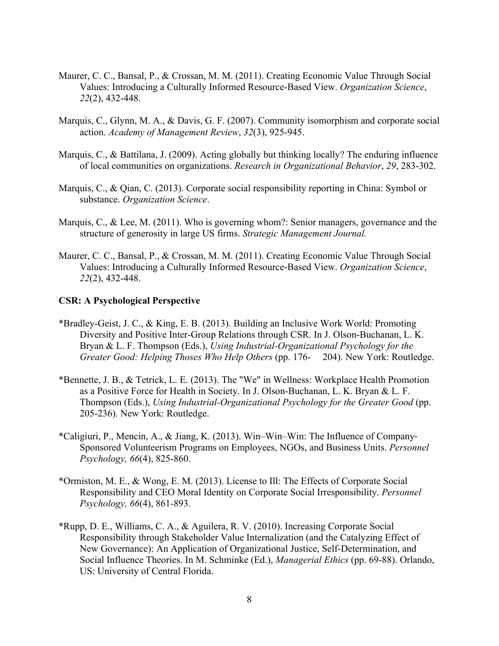- Maurer, C. C., Bansal, P., & Crossan, M. M. (2011). Creating Economic Value Through Social Values: Introducing a Culturally Informed Resource-Based View. *Organization Science*, *22*(2), 432-448.
- Marquis, C., Glynn, M. A., & Davis, G. F. (2007). Community isomorphism and corporate social action. *Academy of Management Review*, *32*(3), 925-945.
- Marquis, C., & Battilana, J. (2009). Acting globally but thinking locally? The enduring influence of local communities on organizations. *Research in Organizational Behavior*, *29*, 283-302.
- Marquis, C., & Qian, C. (2013). Corporate social responsibility reporting in China: Symbol or substance. *Organization Science*.
- Marquis, C., & Lee, M. (2011). Who is governing whom?: Senior managers, governance and the structure of generosity in large US firms. *Strategic Management Journal.*
- Maurer, C. C., Bansal, P., & Crossan, M. M. (2011). Creating Economic Value Through Social Values: Introducing a Culturally Informed Resource-Based View. *Organization Science*, *22*(2), 432-448.

#### **CSR: A Psychological Perspective**

- \*Bradley-Geist, J. C., & King, E. B. (2013). Building an Inclusive Work World: Promoting Diversity and Positive Inter-Group Relations through CSR. In J. Olson-Buchanan, L. K. Bryan & L. F. Thompson (Eds.), *Using Industrial-Organizational Psychology for the Greater Good: Helping Thoses Who Help Others* (pp. 176- 204). New York: Routledge.
- \*Bennette, J. B., & Tetrick, L. E. (2013). The "We" in Wellness: Workplace Health Promotion as a Positive Force for Health in Society. In J. Olson-Buchanan, L. K. Bryan & L. F. Thompson (Eds.), *Using Industrial-Organizational Psychology for the Greater Good* (pp. 205-236). New York: Routledge.
- \*Caligiuri, P., Mencin, A., & Jiang, K. (2013). Win–Win–Win: The Influence of Company-Sponsored Volunteerism Programs on Employees, NGOs, and Business Units. *Personnel Psychology, 66*(4), 825-860.
- \*Ormiston, M. E., & Wong, E. M. (2013). License to Ill: The Effects of Corporate Social Responsibility and CEO Moral Identity on Corporate Social Irresponsibility. *Personnel Psychology, 66*(4), 861-893.
- \*Rupp, D. E., Williams, C. A., & Aguilera, R. V. (2010). Increasing Corporate Social Responsibility through Stakeholder Value Internalization (and the Catalyzing Effect of New Governance): An Application of Organizational Justice, Self-Determination, and Social Influence Theories. In M. Schminke (Ed.), *Managerial Ethics* (pp. 69-88). Orlando, US: University of Central Florida.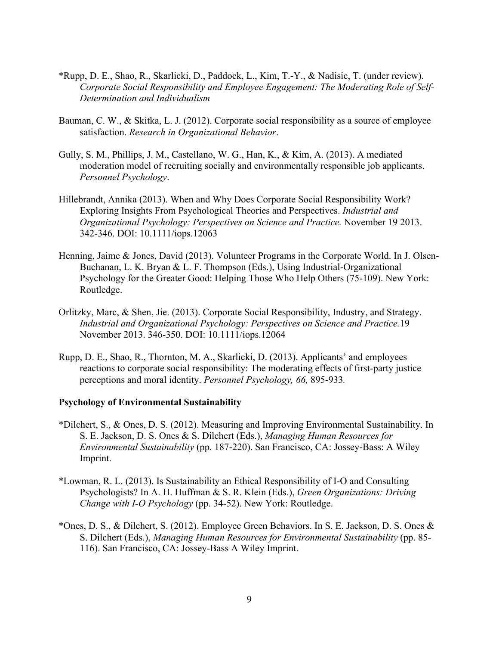- \*Rupp, D. E., Shao, R., Skarlicki, D., Paddock, L., Kim, T.-Y., & Nadisic, T. (under review). *Corporate Social Responsibility and Employee Engagement: The Moderating Role of Self-Determination and Individualism*
- Bauman, C. W., & Skitka, L. J. (2012). Corporate social responsibility as a source of employee satisfaction. *Research in Organizational Behavior*.
- Gully, S. M., Phillips, J. M., Castellano, W. G., Han, K., & Kim, A. (2013). A mediated moderation model of recruiting socially and environmentally responsible job applicants. *Personnel Psychology*.
- Hillebrandt, Annika (2013). When and Why Does Corporate Social Responsibility Work? Exploring Insights From Psychological Theories and Perspectives. *Industrial and Organizational Psychology: Perspectives on Science and Practice.* November 19 2013. 342-346. DOI: 10.1111/iops.12063
- Henning, Jaime & Jones, David (2013). Volunteer Programs in the Corporate World. In J. Olsen-Buchanan, L. K. Bryan & L. F. Thompson (Eds.), Using Industrial-Organizational Psychology for the Greater Good: Helping Those Who Help Others (75-109). New York: Routledge.
- Orlitzky, Marc, & Shen, Jie. (2013). Corporate Social Responsibility, Industry, and Strategy. *Industrial and Organizational Psychology: Perspectives on Science and Practice.*19 November 2013. 346-350. DOI: 10.1111/iops.12064
- Rupp, D. E., Shao, R., Thornton, M. A., Skarlicki, D. (2013). Applicants' and employees reactions to corporate social responsibility: The moderating effects of first-party justice perceptions and moral identity. *Personnel Psychology, 66,* 895-933*.*

#### **Psychology of Environmental Sustainability**

- \*Dilchert, S., & Ones, D. S. (2012). Measuring and Improving Environmental Sustainability. In S. E. Jackson, D. S. Ones & S. Dilchert (Eds.), *Managing Human Resources for Environmental Sustainability* (pp. 187-220). San Francisco, CA: Jossey-Bass: A Wiley Imprint.
- \*Lowman, R. L. (2013). Is Sustainability an Ethical Responsibility of I-O and Consulting Psychologists? In A. H. Huffman & S. R. Klein (Eds.), *Green Organizations: Driving Change with I-O Psychology* (pp. 34-52). New York: Routledge.
- \*Ones, D. S., & Dilchert, S. (2012). Employee Green Behaviors. In S. E. Jackson, D. S. Ones  $\&$ S. Dilchert (Eds.), *Managing Human Resources for Environmental Sustainability* (pp. 85- 116). San Francisco, CA: Jossey-Bass A Wiley Imprint.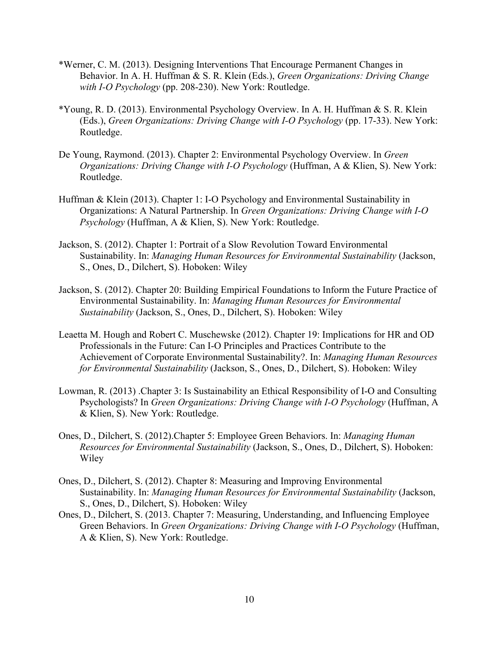- \*Werner, C. M. (2013). Designing Interventions That Encourage Permanent Changes in Behavior. In A. H. Huffman & S. R. Klein (Eds.), *Green Organizations: Driving Change with I-O Psychology* (pp. 208-230). New York: Routledge.
- \*Young, R. D. (2013). Environmental Psychology Overview. In A. H. Huffman & S. R. Klein (Eds.), *Green Organizations: Driving Change with I-O Psychology* (pp. 17-33). New York: Routledge.
- De Young, Raymond. (2013). Chapter 2: Environmental Psychology Overview. In *Green Organizations: Driving Change with I-O Psychology* (Huffman, A & Klien, S). New York: Routledge.
- Huffman & Klein (2013). Chapter 1: I-O Psychology and Environmental Sustainability in Organizations: A Natural Partnership. In *Green Organizations: Driving Change with I-O Psychology* (Huffman, A & Klien, S). New York: Routledge.
- Jackson, S. (2012). Chapter 1: Portrait of a Slow Revolution Toward Environmental Sustainability. In: *Managing Human Resources for Environmental Sustainability* (Jackson, S., Ones, D., Dilchert, S). Hoboken: Wiley
- Jackson, S. (2012). Chapter 20: Building Empirical Foundations to Inform the Future Practice of Environmental Sustainability. In: *Managing Human Resources for Environmental Sustainability* (Jackson, S., Ones, D., Dilchert, S). Hoboken: Wiley
- Leaetta M. Hough and Robert C. Muschewske (2012). Chapter 19: Implications for HR and OD Professionals in the Future: Can I-O Principles and Practices Contribute to the Achievement of Corporate Environmental Sustainability?. In: *Managing Human Resources for Environmental Sustainability* (Jackson, S., Ones, D., Dilchert, S). Hoboken: Wiley
- Lowman, R. (2013) .Chapter 3: Is Sustainability an Ethical Responsibility of I-O and Consulting Psychologists? In *Green Organizations: Driving Change with I-O Psychology* (Huffman, A & Klien, S). New York: Routledge.
- Ones, D., Dilchert, S. (2012).Chapter 5: Employee Green Behaviors. In: *Managing Human Resources for Environmental Sustainability* (Jackson, S., Ones, D., Dilchert, S). Hoboken: Wiley
- Ones, D., Dilchert, S. (2012). Chapter 8: Measuring and Improving Environmental Sustainability. In: *Managing Human Resources for Environmental Sustainability* (Jackson, S., Ones, D., Dilchert, S). Hoboken: Wiley
- Ones, D., Dilchert, S. (2013. Chapter 7: Measuring, Understanding, and Influencing Employee Green Behaviors. In *Green Organizations: Driving Change with I-O Psychology* (Huffman, A & Klien, S). New York: Routledge.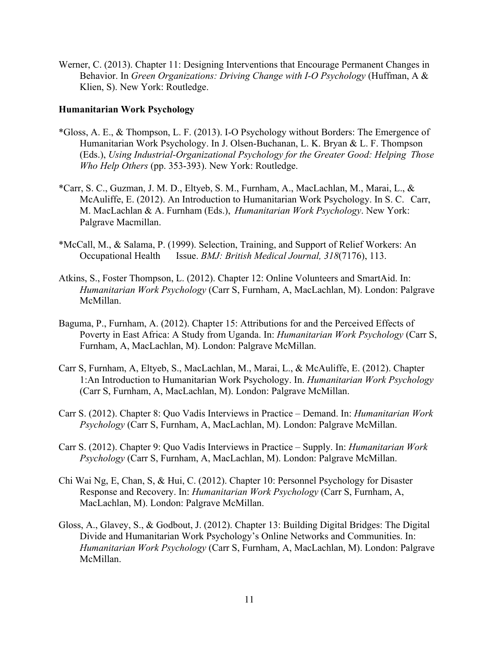Werner, C. (2013). Chapter 11: Designing Interventions that Encourage Permanent Changes in Behavior. In *Green Organizations: Driving Change with I-O Psychology* (Huffman, A & Klien, S). New York: Routledge.

## **Humanitarian Work Psychology**

- \*Gloss, A. E., & Thompson, L. F. (2013). I-O Psychology without Borders: The Emergence of Humanitarian Work Psychology. In J. Olsen-Buchanan, L. K. Bryan & L. F. Thompson (Eds.), *Using Industrial-Organizational Psychology for the Greater Good: Helping Those Who Help Others* (pp. 353-393). New York: Routledge.
- \*Carr, S. C., Guzman, J. M. D., Eltyeb, S. M., Furnham, A., MacLachlan, M., Marai, L., & McAuliffe, E. (2012). An Introduction to Humanitarian Work Psychology. In S. C. Carr, M. MacLachlan & A. Furnham (Eds.), *Humanitarian Work Psychology*. New York: Palgrave Macmillan.
- \*McCall, M., & Salama, P. (1999). Selection, Training, and Support of Relief Workers: An Occupational Health Issue. *BMJ: British Medical Journal, 318*(7176), 113.
- Atkins, S., Foster Thompson, L. (2012). Chapter 12: Online Volunteers and SmartAid. In: *Humanitarian Work Psychology* (Carr S, Furnham, A, MacLachlan, M). London: Palgrave McMillan.
- Baguma, P., Furnham, A. (2012). Chapter 15: Attributions for and the Perceived Effects of Poverty in East Africa: A Study from Uganda. In: *Humanitarian Work Psychology* (Carr S, Furnham, A, MacLachlan, M). London: Palgrave McMillan.
- Carr S, Furnham, A, Eltyeb, S., MacLachlan, M., Marai, L., & McAuliffe, E. (2012). Chapter 1:An Introduction to Humanitarian Work Psychology. In. *Humanitarian Work Psychology* (Carr S, Furnham, A, MacLachlan, M). London: Palgrave McMillan.
- Carr S. (2012). Chapter 8: Quo Vadis Interviews in Practice Demand. In: *Humanitarian Work Psychology* (Carr S, Furnham, A, MacLachlan, M). London: Palgrave McMillan.
- Carr S. (2012). Chapter 9: Quo Vadis Interviews in Practice Supply. In: *Humanitarian Work Psychology* (Carr S, Furnham, A, MacLachlan, M). London: Palgrave McMillan.
- Chi Wai Ng, E, Chan, S, & Hui, C. (2012). Chapter 10: Personnel Psychology for Disaster Response and Recovery. In: *Humanitarian Work Psychology* (Carr S, Furnham, A, MacLachlan, M). London: Palgrave McMillan.
- Gloss, A., Glavey, S., & Godbout, J. (2012). Chapter 13: Building Digital Bridges: The Digital Divide and Humanitarian Work Psychology's Online Networks and Communities. In: *Humanitarian Work Psychology* (Carr S, Furnham, A, MacLachlan, M). London: Palgrave McMillan.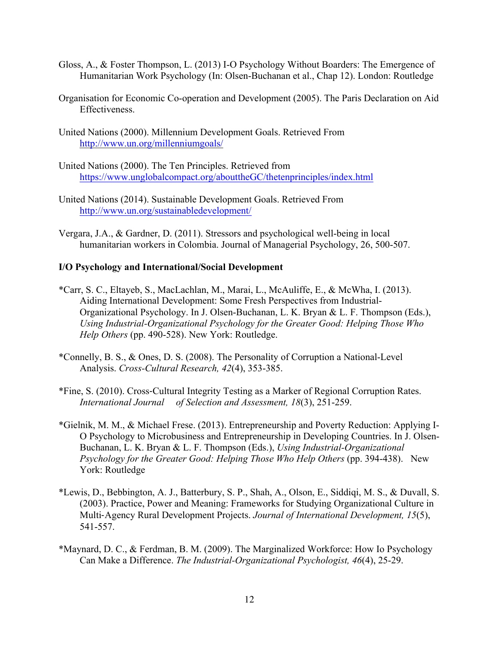- Gloss, A., & Foster Thompson, L. (2013) I-O Psychology Without Boarders: The Emergence of Humanitarian Work Psychology (In: Olsen-Buchanan et al., Chap 12). London: Routledge
- Organisation for Economic Co-operation and Development (2005). The Paris Declaration on Aid Effectiveness.
- United Nations (2000). Millennium Development Goals. Retrieved From http://www.un.org/millenniumgoals/
- United Nations (2000). The Ten Principles. Retrieved from https://www.unglobalcompact.org/abouttheGC/thetenprinciples/index.html
- United Nations (2014). Sustainable Development Goals. Retrieved From http://www.un.org/sustainabledevelopment/
- Vergara, J.A., & Gardner, D. (2011). Stressors and psychological well-being in local humanitarian workers in Colombia. Journal of Managerial Psychology, 26, 500-507.

#### **I/O Psychology and International/Social Development**

- \*Carr, S. C., Eltayeb, S., MacLachlan, M., Marai, L., McAuliffe, E., & McWha, I. (2013). Aiding International Development: Some Fresh Perspectives from Industrial-Organizational Psychology. In J. Olsen-Buchanan, L. K. Bryan & L. F. Thompson (Eds.), *Using Industrial-Organizational Psychology for the Greater Good: Helping Those Who Help Others* (pp. 490-528). New York: Routledge.
- \*Connelly, B. S., & Ones, D. S. (2008). The Personality of Corruption a National-Level Analysis. *Cross-Cultural Research, 42*(4), 353-385.
- \*Fine, S. (2010). Cross-Cultural Integrity Testing as a Marker of Regional Corruption Rates. *International Journal of Selection and Assessment, 18*(3), 251-259.
- \*Gielnik, M. M., & Michael Frese. (2013). Entrepreneurship and Poverty Reduction: Applying I-O Psychology to Microbusiness and Entrepreneurship in Developing Countries. In J. Olsen-Buchanan, L. K. Bryan & L. F. Thompson (Eds.), *Using Industrial-Organizational Psychology for the Greater Good: Helping Those Who Help Others* (pp. 394-438). New York: Routledge
- \*Lewis, D., Bebbington, A. J., Batterbury, S. P., Shah, A., Olson, E., Siddiqi, M. S., & Duvall, S. (2003). Practice, Power and Meaning: Frameworks for Studying Organizational Culture in Multi-Agency Rural Development Projects. *Journal of International Development, 15*(5), 541-557.
- \*Maynard, D. C., & Ferdman, B. M. (2009). The Marginalized Workforce: How Io Psychology Can Make a Difference. *The Industrial-Organizational Psychologist, 46*(4), 25-29.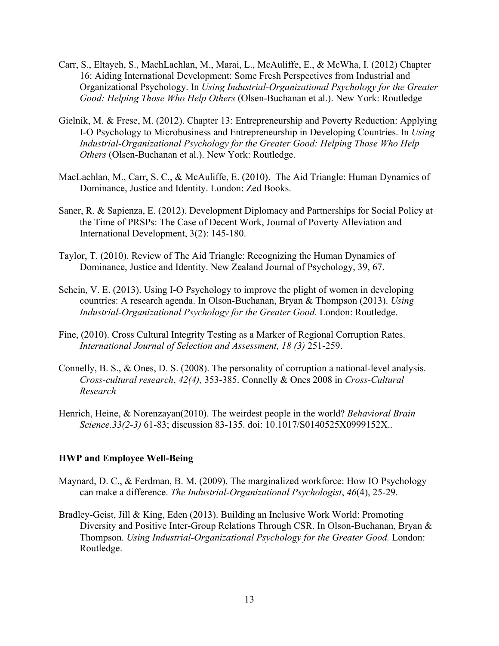- Carr, S., Eltayeh, S., MachLachlan, M., Marai, L., McAuliffe, E., & McWha, I. (2012) Chapter 16: Aiding International Development: Some Fresh Perspectives from Industrial and Organizational Psychology. In *Using Industrial-Organizational Psychology for the Greater Good: Helping Those Who Help Others* (Olsen-Buchanan et al.). New York: Routledge
- Gielnik, M. & Frese, M. (2012). Chapter 13: Entrepreneurship and Poverty Reduction: Applying I-O Psychology to Microbusiness and Entrepreneurship in Developing Countries. In *Using Industrial-Organizational Psychology for the Greater Good: Helping Those Who Help Others* (Olsen-Buchanan et al.). New York: Routledge.
- MacLachlan, M., Carr, S. C., & McAuliffe, E. (2010). The Aid Triangle: Human Dynamics of Dominance, Justice and Identity. London: Zed Books.
- Saner, R. & Sapienza, E. (2012). Development Diplomacy and Partnerships for Social Policy at the Time of PRSPs: The Case of Decent Work, Journal of Poverty Alleviation and International Development, 3(2): 145-180.
- Taylor, T. (2010). Review of The Aid Triangle: Recognizing the Human Dynamics of Dominance, Justice and Identity. New Zealand Journal of Psychology, 39, 67.
- Schein, V. E. (2013). Using I-O Psychology to improve the plight of women in developing countries: A research agenda. In Olson-Buchanan, Bryan & Thompson (2013). *Using Industrial-Organizational Psychology for the Greater Good*. London: Routledge.
- Fine, (2010). Cross Cultural Integrity Testing as a Marker of Regional Corruption Rates. *International Journal of Selection and Assessment, 18 (3)* 251-259.
- Connelly, B. S., & Ones, D. S. (2008). The personality of corruption a national-level analysis. *Cross-cultural research*, *42(4),* 353-385. Connelly & Ones 2008 in *Cross-Cultural Research*
- Henrich, Heine, & Norenzayan(2010). The weirdest people in the world? *Behavioral Brain Science.33(2-3)* 61-83; discussion 83-135. doi: 10.1017/S0140525X0999152X..

#### **HWP and Employee Well-Being**

- Maynard, D. C., & Ferdman, B. M. (2009). The marginalized workforce: How IO Psychology can make a difference. *The Industrial-Organizational Psychologist*, *46*(4), 25-29.
- Bradley-Geist, Jill & King, Eden (2013). Building an Inclusive Work World: Promoting Diversity and Positive Inter-Group Relations Through CSR. In Olson-Buchanan, Bryan & Thompson. *Using Industrial-Organizational Psychology for the Greater Good.* London: Routledge.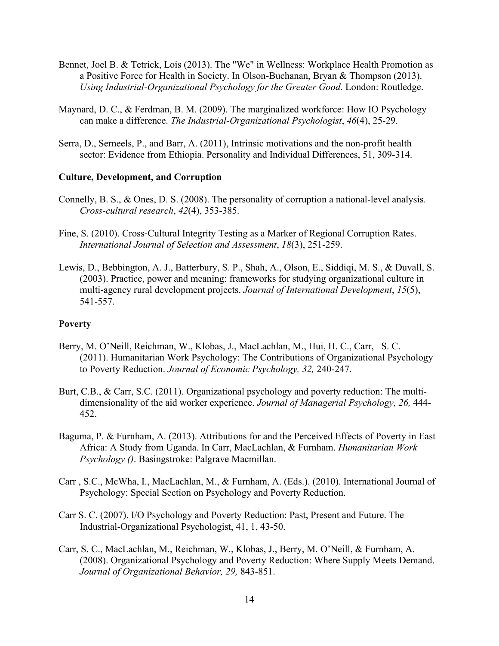- Bennet, Joel B. & Tetrick, Lois (2013). The "We" in Wellness: Workplace Health Promotion as a Positive Force for Health in Society. In Olson-Buchanan, Bryan & Thompson (2013). *Using Industrial-Organizational Psychology for the Greater Good*. London: Routledge.
- Maynard, D. C., & Ferdman, B. M. (2009). The marginalized workforce: How IO Psychology can make a difference. *The Industrial-Organizational Psychologist*, *46*(4), 25-29.
- Serra, D., Serneels, P., and Barr, A. (2011), Intrinsic motivations and the non-profit health sector: Evidence from Ethiopia. Personality and Individual Differences, 51, 309-314.

#### **Culture, Development, and Corruption**

- Connelly, B. S., & Ones, D. S. (2008). The personality of corruption a national-level analysis. *Cross-cultural research*, *42*(4), 353-385.
- Fine, S. (2010). Cross-Cultural Integrity Testing as a Marker of Regional Corruption Rates. *International Journal of Selection and Assessment*, *18*(3), 251-259.
- Lewis, D., Bebbington, A. J., Batterbury, S. P., Shah, A., Olson, E., Siddiqi, M. S., & Duvall, S. (2003). Practice, power and meaning: frameworks for studying organizational culture in multi-agency rural development projects. *Journal of International Development*, *15*(5), 541-557.

## **Poverty**

- Berry, M. O'Neill, Reichman, W., Klobas, J., MacLachlan, M., Hui, H. C., Carr, S. C. (2011). Humanitarian Work Psychology: The Contributions of Organizational Psychology to Poverty Reduction. *Journal of Economic Psychology, 32,* 240-247.
- Burt, C.B., & Carr, S.C. (2011). Organizational psychology and poverty reduction: The multidimensionality of the aid worker experience. *Journal of Managerial Psychology, 26,* 444- 452.
- Baguma, P. & Furnham, A. (2013). Attributions for and the Perceived Effects of Poverty in East Africa: A Study from Uganda. In Carr, MacLachlan, & Furnham. *Humanitarian Work Psychology ()*. Basingstroke: Palgrave Macmillan.
- Carr , S.C., McWha, I., MacLachlan, M., & Furnham, A. (Eds.). (2010). International Journal of Psychology: Special Section on Psychology and Poverty Reduction.
- Carr S. C. (2007). I/O Psychology and Poverty Reduction: Past, Present and Future. The Industrial-Organizational Psychologist, 41, 1, 43-50.
- Carr, S. C., MacLachlan, M., Reichman, W., Klobas, J., Berry, M. O'Neill, & Furnham, A. (2008). Organizational Psychology and Poverty Reduction: Where Supply Meets Demand. *Journal of Organizational Behavior, 29,* 843-851.